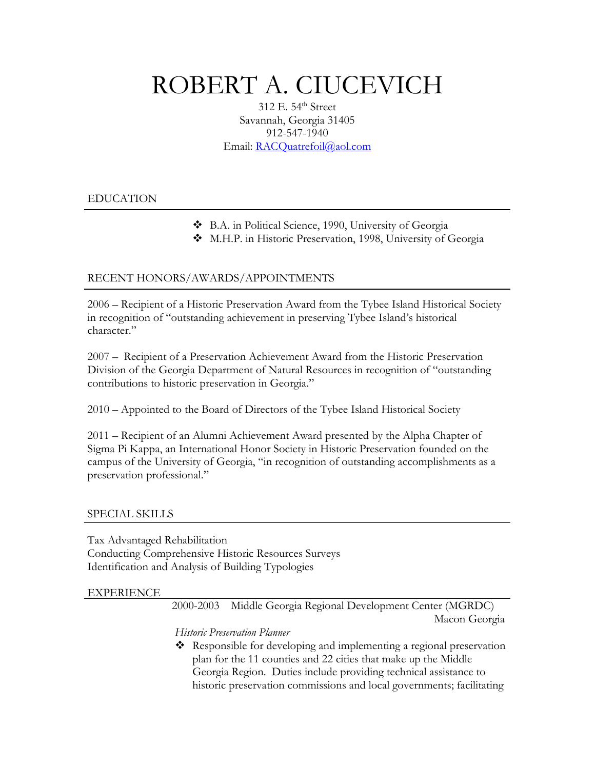# ROBERT A. CIUCEVICH

312 E. 54<sup>th</sup> Street Savannah, Georgia 31405 912-547-1940 Email: [RACQuatrefoil@aol.com](mailto:Rciuc@aol.com)

# EDUCATION

- B.A. in Political Science, 1990, University of Georgia
- M.H.P. in Historic Preservation, 1998, University of Georgia

# RECENT HONORS/AWARDS/APPOINTMENTS

2006 – Recipient of a Historic Preservation Award from the Tybee Island Historical Society in recognition of "outstanding achievement in preserving Tybee Island's historical character."

2007 – Recipient of a Preservation Achievement Award from the Historic Preservation Division of the Georgia Department of Natural Resources in recognition of "outstanding contributions to historic preservation in Georgia."

2010 – Appointed to the Board of Directors of the Tybee Island Historical Society

2011 – Recipient of an Alumni Achievement Award presented by the Alpha Chapter of Sigma Pi Kappa, an International Honor Society in Historic Preservation founded on the campus of the University of Georgia, "in recognition of outstanding accomplishments as a preservation professional."

## SPECIAL SKILLS

Tax Advantaged Rehabilitation Conducting Comprehensive Historic Resources Surveys Identification and Analysis of Building Typologies

## EXPERIENCE

 2000-2003 Middle Georgia Regional Development Center (MGRDC) Macon Georgia

*Historic Preservation Planner* 

 Responsible for developing and implementing a regional preservation plan for the 11 counties and 22 cities that make up the Middle Georgia Region. Duties include providing technical assistance to historic preservation commissions and local governments; facilitating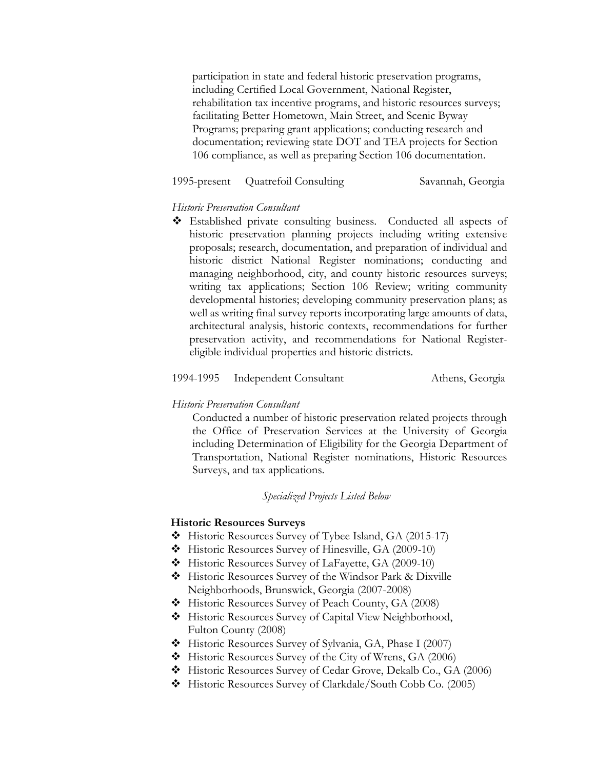participation in state and federal historic preservation programs, including Certified Local Government, National Register, rehabilitation tax incentive programs, and historic resources surveys; facilitating Better Hometown, Main Street, and Scenic Byway Programs; preparing grant applications; conducting research and documentation; reviewing state DOT and TEA projects for Section 106 compliance, as well as preparing Section 106 documentation.

## 1995-present Quatrefoil Consulting Savannah, Georgia

## *Historic Preservation Consultant*

 Established private consulting business. Conducted all aspects of historic preservation planning projects including writing extensive proposals; research, documentation, and preparation of individual and historic district National Register nominations; conducting and managing neighborhood, city, and county historic resources surveys; writing tax applications; Section 106 Review; writing community developmental histories; developing community preservation plans; as well as writing final survey reports incorporating large amounts of data, architectural analysis, historic contexts, recommendations for further preservation activity, and recommendations for National Registereligible individual properties and historic districts.

#### 1994-1995 Independent Consultant Athens, Georgia

#### *Historic Preservation Consultant*

Conducted a number of historic preservation related projects through the Office of Preservation Services at the University of Georgia including Determination of Eligibility for the Georgia Department of Transportation, National Register nominations, Historic Resources Surveys, and tax applications.

## *Specialized Projects Listed Below*

#### **Historic Resources Surveys**

- Historic Resources Survey of Tybee Island, GA (2015-17)
- Historic Resources Survey of Hinesville, GA (2009-10)
- Historic Resources Survey of LaFayette, GA (2009-10)
- Historic Resources Survey of the Windsor Park & Dixville Neighborhoods, Brunswick, Georgia (2007-2008)
- Historic Resources Survey of Peach County, GA (2008)
- Historic Resources Survey of Capital View Neighborhood, Fulton County (2008)
- Historic Resources Survey of Sylvania, GA, Phase I (2007)
- Historic Resources Survey of the City of Wrens, GA (2006)
- Historic Resources Survey of Cedar Grove, Dekalb Co., GA (2006)
- Historic Resources Survey of Clarkdale/South Cobb Co. (2005)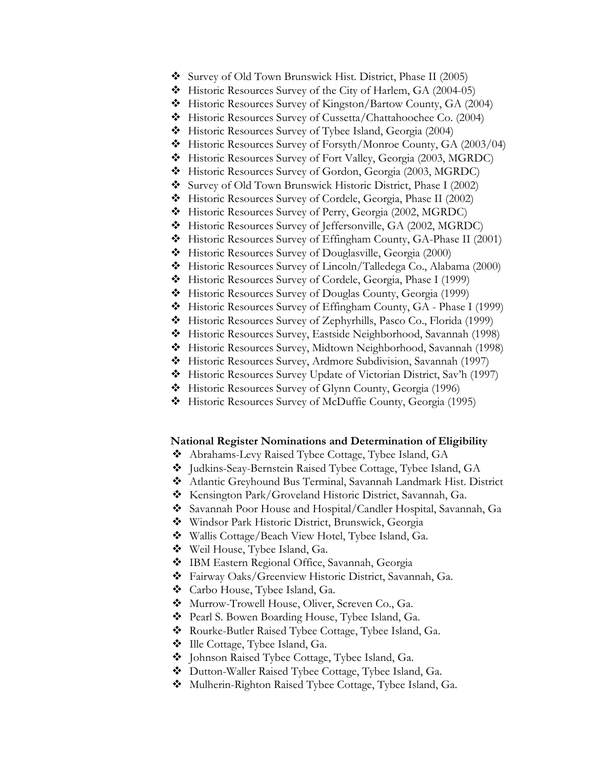- Survey of Old Town Brunswick Hist. District, Phase II (2005)
- Historic Resources Survey of the City of Harlem, GA (2004-05)
- Historic Resources Survey of Kingston/Bartow County, GA (2004)
- Historic Resources Survey of Cussetta/Chattahoochee Co. (2004)
- Historic Resources Survey of Tybee Island, Georgia (2004)
- Historic Resources Survey of Forsyth/Monroe County, GA (2003/04)
- Historic Resources Survey of Fort Valley, Georgia (2003, MGRDC)
- Historic Resources Survey of Gordon, Georgia (2003, MGRDC)
- Survey of Old Town Brunswick Historic District, Phase I (2002)
- Historic Resources Survey of Cordele, Georgia, Phase II (2002)
- Historic Resources Survey of Perry, Georgia (2002, MGRDC)
- Historic Resources Survey of Jeffersonville, GA (2002, MGRDC)
- Historic Resources Survey of Effingham County, GA-Phase II (2001)
- Historic Resources Survey of Douglasville, Georgia (2000)
- Historic Resources Survey of Lincoln/Talledega Co., Alabama (2000)
- Historic Resources Survey of Cordele, Georgia, Phase I (1999)
- Historic Resources Survey of Douglas County, Georgia (1999)
- Historic Resources Survey of Effingham County, GA Phase I (1999)
- Historic Resources Survey of Zephyrhills, Pasco Co., Florida (1999)
- Historic Resources Survey, Eastside Neighborhood, Savannah (1998)
- Historic Resources Survey, Midtown Neighborhood, Savannah (1998)
- Historic Resources Survey, Ardmore Subdivision, Savannah (1997)
- Historic Resources Survey Update of Victorian District, Sav'h (1997)
- Historic Resources Survey of Glynn County, Georgia (1996)
- Historic Resources Survey of McDuffie County, Georgia (1995)

#### **National Register Nominations and Determination of Eligibility**

- Abrahams-Levy Raised Tybee Cottage, Tybee Island, GA
- Judkins-Seay-Bernstein Raised Tybee Cottage, Tybee Island, GA
- Atlantic Greyhound Bus Terminal, Savannah Landmark Hist. District
- Kensington Park/Groveland Historic District, Savannah, Ga.
- Savannah Poor House and Hospital/Candler Hospital, Savannah, Ga
- Windsor Park Historic District, Brunswick, Georgia
- Wallis Cottage/Beach View Hotel, Tybee Island, Ga.
- Weil House, Tybee Island, Ga.
- IBM Eastern Regional Office, Savannah, Georgia
- Fairway Oaks/Greenview Historic District, Savannah, Ga.
- Carbo House, Tybee Island, Ga.
- Murrow-Trowell House, Oliver, Screven Co., Ga.
- Pearl S. Bowen Boarding House, Tybee Island, Ga.
- Rourke-Butler Raised Tybee Cottage, Tybee Island, Ga.
- $\bullet$  Ille Cottage, Tybee Island, Ga.
- $\triangleleft$  Johnson Raised Tybee Cottage, Tybee Island, Ga.
- Dutton-Waller Raised Tybee Cottage, Tybee Island, Ga.
- Mulherin-Righton Raised Tybee Cottage, Tybee Island, Ga.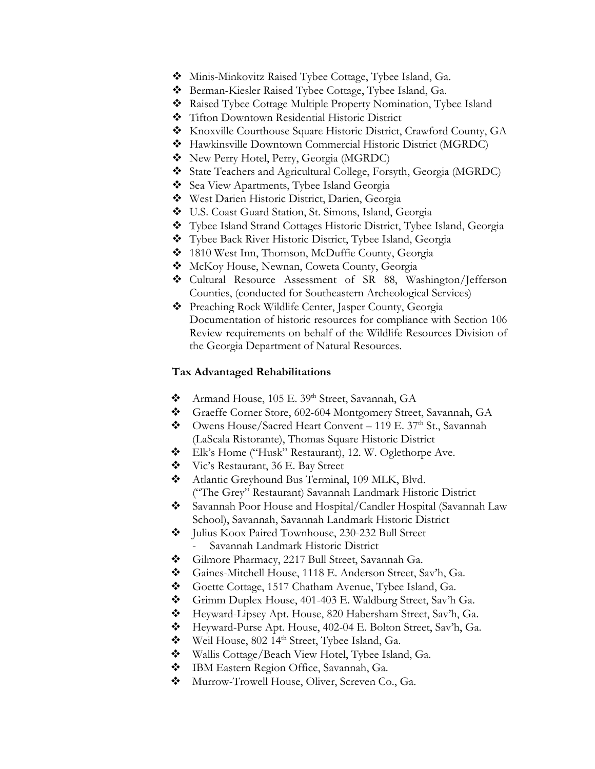- Minis-Minkovitz Raised Tybee Cottage, Tybee Island, Ga.
- Berman-Kiesler Raised Tybee Cottage, Tybee Island, Ga.
- Raised Tybee Cottage Multiple Property Nomination, Tybee Island
- Tifton Downtown Residential Historic District
- Knoxville Courthouse Square Historic District, Crawford County, GA
- Hawkinsville Downtown Commercial Historic District (MGRDC)
- New Perry Hotel, Perry, Georgia (MGRDC)
- State Teachers and Agricultural College, Forsyth, Georgia (MGRDC)
- Sea View Apartments, Tybee Island Georgia
- West Darien Historic District, Darien, Georgia
- U.S. Coast Guard Station, St. Simons, Island, Georgia
- Tybee Island Strand Cottages Historic District, Tybee Island, Georgia
- Tybee Back River Historic District, Tybee Island, Georgia
- 1810 West Inn, Thomson, McDuffie County, Georgia
- McKoy House, Newnan, Coweta County, Georgia
- Cultural Resource Assessment of SR 88, Washington/Jefferson Counties, (conducted for Southeastern Archeological Services)
- Preaching Rock Wildlife Center, Jasper County, Georgia Documentation of historic resources for compliance with Section 106 Review requirements on behalf of the Wildlife Resources Division of the Georgia Department of Natural Resources.

### **Tax Advantaged Rehabilitations**

- Armand House, 105 E. 39th Street, Savannah, GA
- Graeffe Corner Store, 602-604 Montgomery Street, Savannah, GA
- $\bullet$  Owens House/Sacred Heart Convent 119 E. 37<sup>th</sup> St., Savannah (LaScala Ristorante), Thomas Square Historic District
- Elk's Home ("Husk" Restaurant), 12. W. Oglethorpe Ave.
- Vic's Restaurant, 36 E. Bay Street
- Atlantic Greyhound Bus Terminal, 109 MLK, Blvd. ("The Grey" Restaurant) Savannah Landmark Historic District
- Savannah Poor House and Hospital/Candler Hospital (Savannah Law School), Savannah, Savannah Landmark Historic District
- $\bullet$  Julius Koox Paired Townhouse, 230-232 Bull Street Savannah Landmark Historic District
- Gilmore Pharmacy, 2217 Bull Street, Savannah Ga.
- Gaines-Mitchell House, 1118 E. Anderson Street, Sav'h, Ga.
- Goette Cottage, 1517 Chatham Avenue, Tybee Island, Ga.
- Grimm Duplex House, 401-403 E. Waldburg Street, Sav'h Ga.
- Heyward-Lipsey Apt. House, 820 Habersham Street, Sav'h, Ga.
- Heyward-Purse Apt. House, 402-04 E. Bolton Street, Sav'h, Ga.
- Weil House, 802 14<sup>th</sup> Street, Tybee Island, Ga.
- $\bullet$  Wallis Cottage/Beach View Hotel, Tybee Island, Ga.
- IBM Eastern Region Office, Savannah, Ga.
- $\bullet$  Murrow-Trowell House, Oliver, Screven Co., Ga.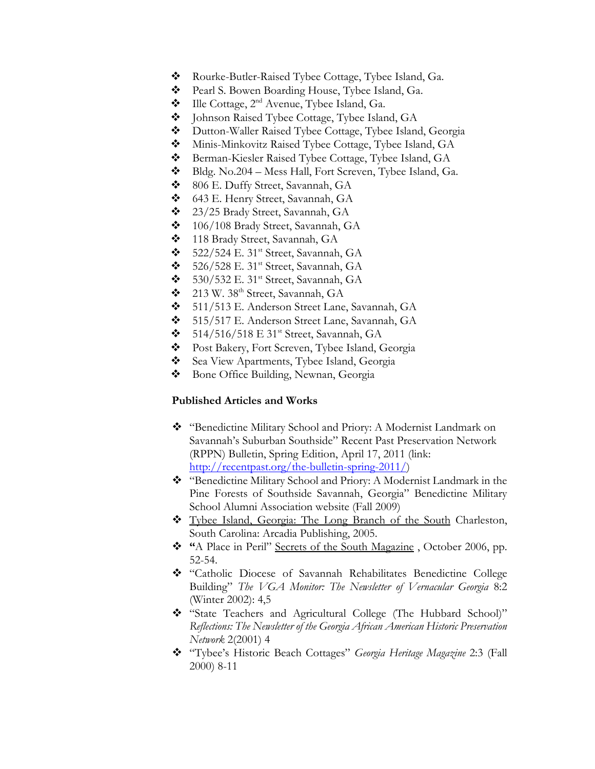- \* Rourke-Butler-Raised Tybee Cottage, Tybee Island, Ga.
- **\*** Pearl S. Bowen Boarding House, Tybee Island, Ga.
- $\bullet$  Ille Cottage, 2<sup>nd</sup> Avenue, Tybee Island, Ga.
- Johnson Raised Tybee Cottage, Tybee Island, GA
- Dutton-Waller Raised Tybee Cottage, Tybee Island, Georgia
- Minis-Minkovitz Raised Tybee Cottage, Tybee Island, GA
- ◆ Berman-Kiesler Raised Tybee Cottage, Tybee Island, GA
- Bldg. No.204 Mess Hall, Fort Screven, Tybee Island, Ga.
- 806 E. Duffy Street, Savannah, GA
- 643 E. Henry Street, Savannah, GA
- 23/25 Brady Street, Savannah, GA
- 106/108 Brady Street, Savannah, GA
- 118 Brady Street, Savannah, GA
- $\bullet$  522/524 E. 31<sup>st</sup> Street, Savannah, GA
- $\div$  526/528 E. 31<sup>st</sup> Street, Savannah, GA
- $\bullet$  530/532 E. 31<sup>st</sup> Street, Savannah, GA
- 213 W. 38th Street, Savannah, GA
- 511/513 E. Anderson Street Lane, Savannah, GA
- 515/517 E. Anderson Street Lane, Savannah, GA
- $\bullet$  514/516/518 E 31<sup>st</sup> Street, Savannah, GA
- **\*** Post Bakery, Fort Screven, Tybee Island, Georgia
- Sea View Apartments, Tybee Island, Georgia
- Bone Office Building, Newnan, Georgia

## **Published Articles and Works**

- "Benedictine Military School and Priory: A Modernist Landmark on Savannah's Suburban Southside" Recent Past Preservation Network (RPPN) Bulletin, Spring Edition, April 17, 2011 (link: [http://recentpast.org/the-bulletin-spring-2011/\)](http://recentpast.org/the-bulletin-spring-2011/)
- "Benedictine Military School and Priory: A Modernist Landmark in the Pine Forests of Southside Savannah, Georgia" Benedictine Military School Alumni Association website (Fall 2009)
- Tybee Island, Georgia: The Long Branch of the South Charleston, South Carolina: Arcadia Publishing, 2005.
- **"**A Place in Peril" Secrets of the South Magazine , October 2006, pp. 52-54.
- "Catholic Diocese of Savannah Rehabilitates Benedictine College Building" *The VGA Monitor: The Newsletter of Vernacular Georgia* 8:2 (Winter 2002): 4,5
- "State Teachers and Agricultural College (The Hubbard School)" *Reflections: The Newsletter of the Georgia African American Historic Preservation Network* 2(2001) 4
- "Tybee's Historic Beach Cottages" *Georgia Heritage Magazine* 2:3 (Fall 2000) 8-11